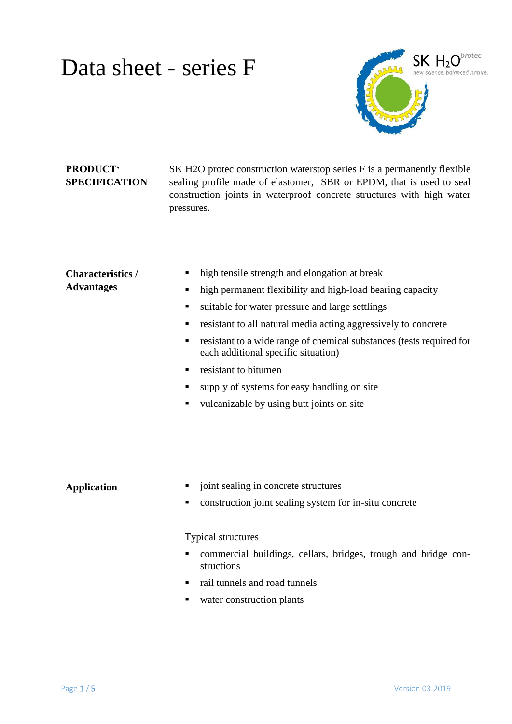

#### **PRODUCT' SPECIFICATION**

SK H2O protec construction waterstop series F is a permanently flexible sealing profile made of elastomer, SBR or EPDM, that is used to seal construction joints in waterproof concrete structures with high water pressures.

| <b>Characteristics</b> /<br><b>Advantages</b> | high tensile strength and elongation at break<br>п<br>high permanent flexibility and high-load bearing capacity<br>٠<br>suitable for water pressure and large settlings<br>٠<br>resistant to all natural media acting aggressively to concrete<br>٠<br>resistant to a wide range of chemical substances (tests required for<br>٠<br>each additional specific situation)<br>resistant to bitumen<br>٠<br>supply of systems for easy handling on site<br>п<br>vulcanizable by using butt joints on site<br>٠ |
|-----------------------------------------------|------------------------------------------------------------------------------------------------------------------------------------------------------------------------------------------------------------------------------------------------------------------------------------------------------------------------------------------------------------------------------------------------------------------------------------------------------------------------------------------------------------|
| <b>Application</b>                            | joint sealing in concrete structures<br>ш<br>construction joint sealing system for in-situ concrete<br>п<br><b>Typical structures</b>                                                                                                                                                                                                                                                                                                                                                                      |

- commercial buildings, cellars, bridges, trough and bridge constructions
- rail tunnels and road tunnels
- water construction plants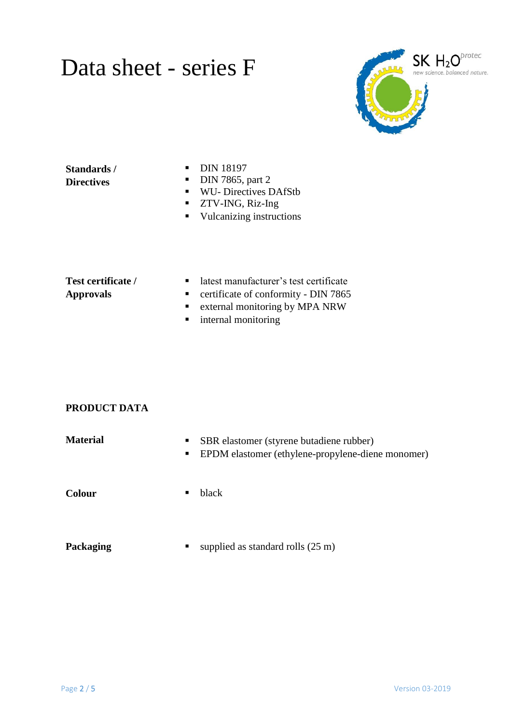

#### **Standards / Directives**

- **DIN 18197**
- $\nightharpoonup$  DIN 7865, part 2
- WU- Directives DAfStb
- **TECT 25 TWO 25 TWO 25 TWO 25 TWO 25 TWO 25 TWO 25 TWO 25 TWO 25 TWO 25 TWO 25 TWO 25 TWO 25 TWO 25 TWO 25 TWO 25 TWO 25 TWO 25 TWO 25 TWO 25 TWO 25 TWO 25 TWO 25 TWO 25 TWO 25 TWO 25 TWO 25 TWO 25 TWO 26 TWO 26 TWO 26 TWO**
- **vulcanizing instructions**

#### **Test certificate / Approvals**

- latest manufacturer's test certificate
- **•** certificate of conformity DIN 7865
- **External monitoring by MPA NRW**
- **n** internal monitoring

#### **PRODUCT DATA**

| <b>Material</b> | SBR elastomer (styrene butadiene rubber)<br>EPDM elastomer (ethylene-propylene-diene monomer)<br>$\blacksquare$ |
|-----------------|-----------------------------------------------------------------------------------------------------------------|
| <b>Colour</b>   | black                                                                                                           |
| Packaging       | supplied as standard rolls $(25 \text{ m})$                                                                     |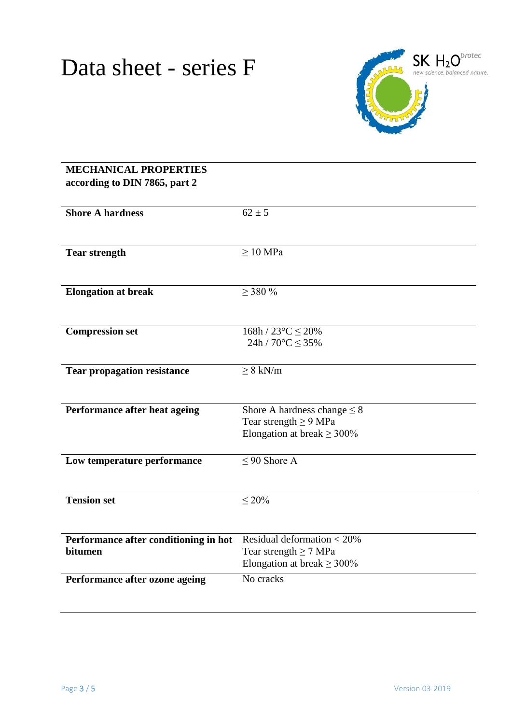

| <b>MECHANICAL PROPERTIES</b><br>according to DIN 7865, part 2 |                                                                                                   |  |
|---------------------------------------------------------------|---------------------------------------------------------------------------------------------------|--|
| <b>Shore A hardness</b>                                       | $62 \pm 5$                                                                                        |  |
| <b>Tear strength</b>                                          | $\geq 10$ MPa                                                                                     |  |
| <b>Elongation at break</b>                                    | $\geq$ 380 %                                                                                      |  |
| <b>Compression set</b>                                        | $168h/23^{\circ}C \leq 20\%$<br>$24h/70^{\circ}C \leq 35\%$                                       |  |
| <b>Tear propagation resistance</b>                            | $\geq 8$ kN/m                                                                                     |  |
| Performance after heat ageing                                 | Shore A hardness change $\leq 8$<br>Tear strength $\geq$ 9 MPa<br>Elongation at break $\geq$ 300% |  |
| Low temperature performance                                   | $\leq$ 90 Shore A                                                                                 |  |
| <b>Tension set</b>                                            | $\leq 20\%$                                                                                       |  |
| Performance after conditioning in hot<br>bitumen              | Residual deformation $<$ 20%<br>Tear strength $\geq$ 7 MPa<br>Elongation at break $\geq$ 300%     |  |
| Performance after ozone ageing                                | No cracks                                                                                         |  |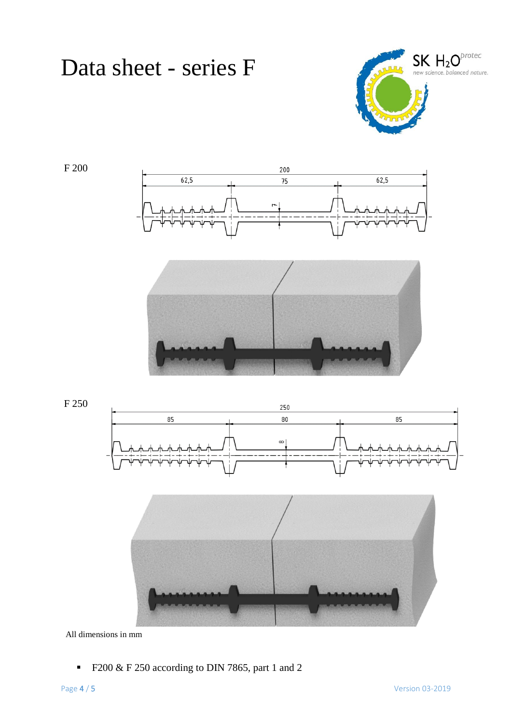

F 200





F 250





All dimensions in mm

F200 & F 250 according to DIN 7865, part 1 and 2